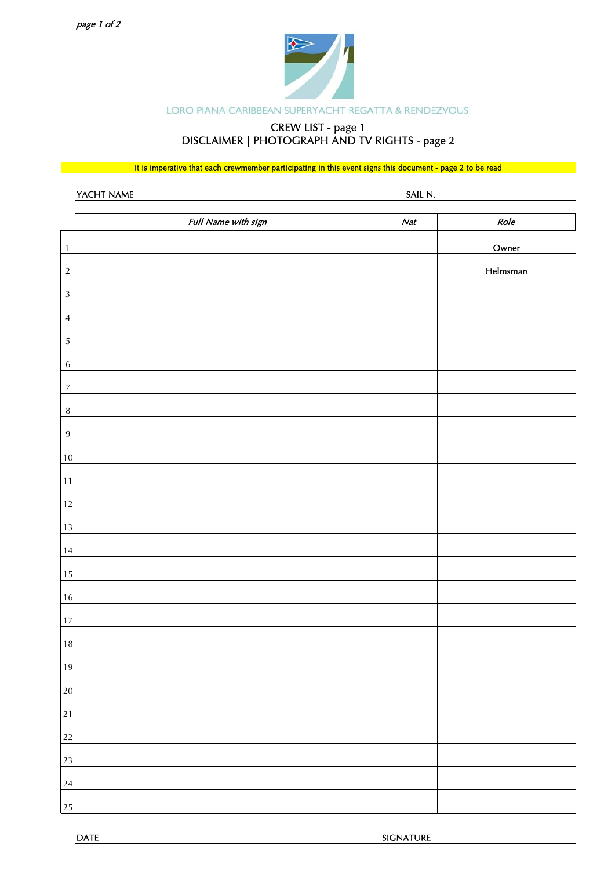

### LORO PIANA CARIBBEAN SUPERYACHT REGATTA & RENDEZVOUS

## CREW LIST - page 1 DISCLAIMER | PHOTOGRAPH AND TV RIGHTS - page 2

It is imperative that each crewmember participating in this event signs this document - page 2 to be read

|                            | YACHT NAME          | SAIL N. |                   |
|----------------------------|---------------------|---------|-------------------|
|                            | Full Name with sign | Nat     | Role              |
| $\mathbf{1}$<br>$\sqrt{2}$ |                     |         | Owner<br>Helmsman |
| $\sqrt{3}$                 |                     |         |                   |
| $\overline{4}$             |                     |         |                   |
| $\sqrt{5}$                 |                     |         |                   |
| $\,6\,$                    |                     |         |                   |
| $\boldsymbol{7}$<br>$\, 8$ |                     |         |                   |
| $\,9$                      |                     |         |                   |
| $10\,$                     |                     |         |                   |
| 11                         |                     |         |                   |
| 12                         |                     |         |                   |
| $13\,$                     |                     |         |                   |
| $14\,$                     |                     |         |                   |
| $15\,$                     |                     |         |                   |
| $16\,$                     |                     |         |                   |
| $17\,$                     |                     |         |                   |
| $18\,$                     |                     |         |                   |
| 19                         |                     |         |                   |
| 20                         |                     |         |                   |
| $2\sqrt{1}$                |                     |         |                   |
| 22                         |                     |         |                   |
| 23                         |                     |         |                   |
| 24                         |                     |         |                   |
| 25                         |                     |         |                   |